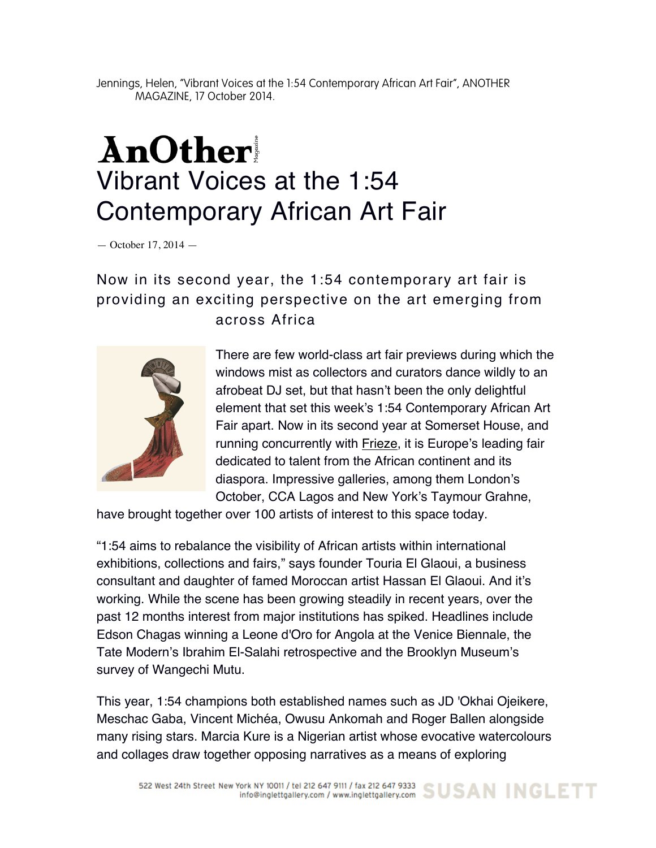Jennings, Helen, "Vibrant Voices at the 1:54 Contemporary African Art Fair", ANOTHER MAGAZINE, 17 October 2014.

## AnOther Vibrant Voices at the 1:54 Contemporary African Art Fair

— October 17, 2014 —

## Now in its second year, the 1:54 contemporary art fair is providing an exciting perspective on the art emerging from across Africa



There are few world-class art fair previews during which the windows mist as collectors and curators dance wildly to an afrobeat DJ set, but that hasn't been the only delightful element that set this week's 1:54 Contemporary African Art Fair apart. Now in its second year at Somerset House, and running concurrently with Frieze, it is Europe's leading fair dedicated to talent from the African continent and its diaspora. Impressive galleries, among them London's October, CCA Lagos and New York's Taymour Grahne,

have brought together over 100 artists of interest to this space today.

"1:54 aims to rebalance the visibility of African artists within international exhibitions, collections and fairs," says founder Touria El Glaoui, a business consultant and daughter of famed Moroccan artist Hassan El Glaoui. And it's working. While the scene has been growing steadily in recent years, over the past 12 months interest from major institutions has spiked. Headlines include Edson Chagas winning a Leone d'Oro for Angola at the Venice Biennale, the Tate Modern's Ibrahim El-Salahi retrospective and the Brooklyn Museum's survey of Wangechi Mutu.

This year, 1:54 champions both established names such as JD 'Okhai Ojeikere, Meschac Gaba, Vincent Michéa, Owusu Ankomah and Roger Ballen alongside many rising stars. Marcia Kure is a Nigerian artist whose evocative watercolours and collages draw together opposing narratives as a means of exploring